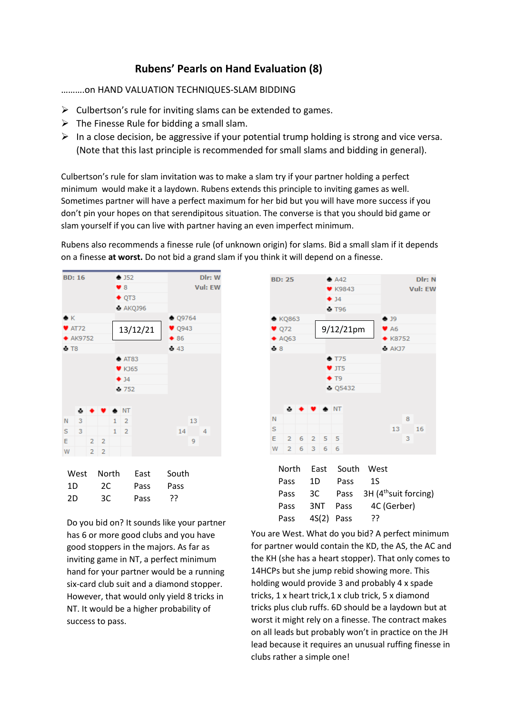## **Rubens' Pearls on Hand Evaluation (8)**

……….on HAND VALUATION TECHNIQUES-SLAM BIDDING

- $\triangleright$  Culbertson's rule for inviting slams can be extended to games.
- $\triangleright$  The Finesse Rule for bidding a small slam.
- ➢ In a close decision, be aggressive if your potential trump holding is strong and vice versa. (Note that this last principle is recommended for small slams and bidding in general).

Culbertson's rule for slam invitation was to make a slam try if your partner holding a perfect minimum would make it a laydown. Rubens extends this principle to inviting games as well. Sometimes partner will have a perfect maximum for her bid but you will have more success if you don't pin your hopes on that serendipitous situation. The converse is that you should bid game or slam yourself if you can live with partner having an even imperfect minimum.

Rubens also recommends a finesse rule (of unknown origin) for slams. Bid a small slam if it depends on a finesse **at worst.** Do not bid a grand slam if you think it will depend on a finesse.



| <b>vv</b> こっこ | .  | ᄂᅌᇰᄔ | <b>JUULII</b> |
|---------------|----|------|---------------|
| 1D            | 2C | Pass | Pass          |
| 2D            | 3C | Pass | ַרְכִ         |

Do you bid on? It sounds like your partner has 6 or more good clubs and you have good stoppers in the majors. As far as inviting game in NT, a perfect minimum hand for your partner would be a running six-card club suit and a diamond stopper. However, that would only yield 8 tricks in NT. It would be a higher probability of success to pass.



You are West. What do you bid? A perfect minimum for partner would contain the KD, the AS, the AC and the KH (she has a heart stopper). That only comes to 14HCPs but she jump rebid showing more. This holding would provide 3 and probably 4 x spade tricks, 1 x heart trick,1 x club trick, 5 x diamond tricks plus club ruffs. 6D should be a laydown but at worst it might rely on a finesse. The contract makes on all leads but probably won't in practice on the JH lead because it requires an unusual ruffing finesse in clubs rather a simple one!

Pass 4S(2) Pass ??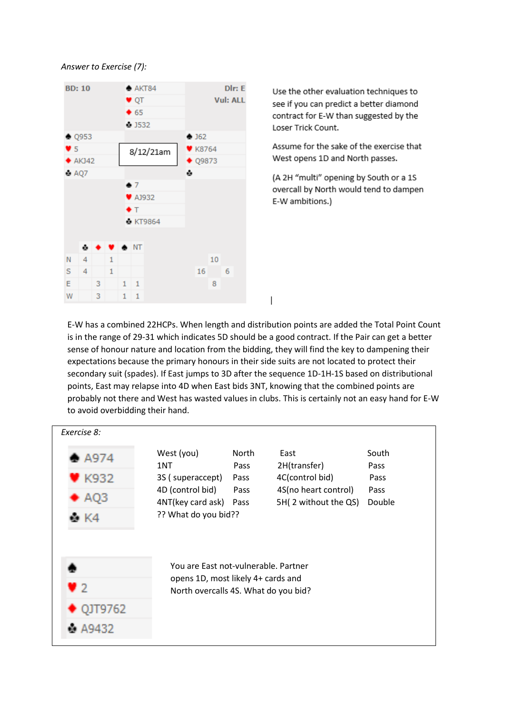*Answer to Exercise (7):*



Use the other evaluation techniques to see if you can predict a better diamond contract for E-W than suggested by the Loser Trick Count.

Assume for the sake of the exercise that West opens 1D and North passes.

(A 2H "multi" opening by South or a 1S overcall by North would tend to dampen E-W ambitions.)

E-W has a combined 22HCPs. When length and distribution points are added the Total Point Count is in the range of 29-31 which indicates 5D should be a good contract. If the Pair can get a better sense of honour nature and location from the bidding, they will find the key to dampening their expectations because the primary honours in their side suits are not located to protect their secondary suit (spades). If East jumps to 3D after the sequence 1D-1H-1S based on distributional points, East may relapse into 4D when East bids 3NT, knowing that the combined points are probably not there and West has wasted values in clubs. This is certainly not an easy hand for E-W to avoid overbidding their hand.

 $\overline{\phantom{a}}$ 

| Exercise 8:                          |                                                                            |       |                      |        |  |  |  |  |
|--------------------------------------|----------------------------------------------------------------------------|-------|----------------------|--------|--|--|--|--|
| $\rightharpoonup$ A974               | West (you)                                                                 | North | East                 | South  |  |  |  |  |
|                                      | 1NT                                                                        | Pass  | 2H(transfer)         | Pass   |  |  |  |  |
| ≸ K932                               | 3S (superaccept)                                                           | Pass  | 4C(control bid)      | Pass   |  |  |  |  |
| $\blacktriangleright$ AQ3            | 4D (control bid)                                                           | Pass  | 4S(no heart control) | Pass   |  |  |  |  |
|                                      | 4NT(key card ask)                                                          | Pass  | 5H(2 without the QS) | Double |  |  |  |  |
| ё К4                                 | ?? What do you bid??                                                       |       |                      |        |  |  |  |  |
| You are East not-vulnerable. Partner |                                                                            |       |                      |        |  |  |  |  |
| V 2                                  | opens 1D, most likely 4+ cards and<br>North overcalls 4S. What do you bid? |       |                      |        |  |  |  |  |
| QJT9762                              |                                                                            |       |                      |        |  |  |  |  |
| A9432                                |                                                                            |       |                      |        |  |  |  |  |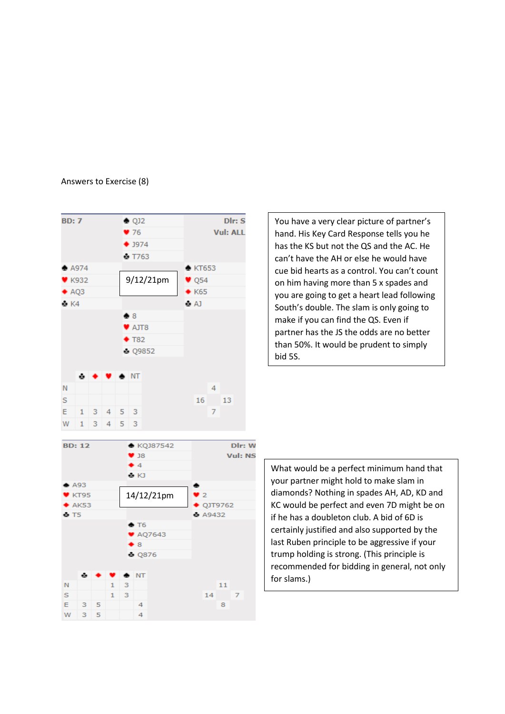## Answers to Exercise (8)



You have a very clear picture of partner's hand. His Key Card Response tells you he has the KS but not the QS and the AC. He can't have the AH or else he would have cue bid hearts as a control. You can't count on him having more than 5 x spades and you are going to get a heart lead following South's double. The slam is only going to make if you can find the QS. Even if partner has the JS the odds are no better than 50%. It would be prudent to simply bid 5S.

What would be a perfect minimum hand that your partner might hold to make slam in diamonds? Nothing in spades AH, AD, KD and KC would be perfect and even 7D might be on if he has a doubleton club. A bid of 6D is certainly justified and also supported by the last Ruben principle to be aggressive if your trump holding is strong. (This principle is recommended for bidding in general, not only for slams.)